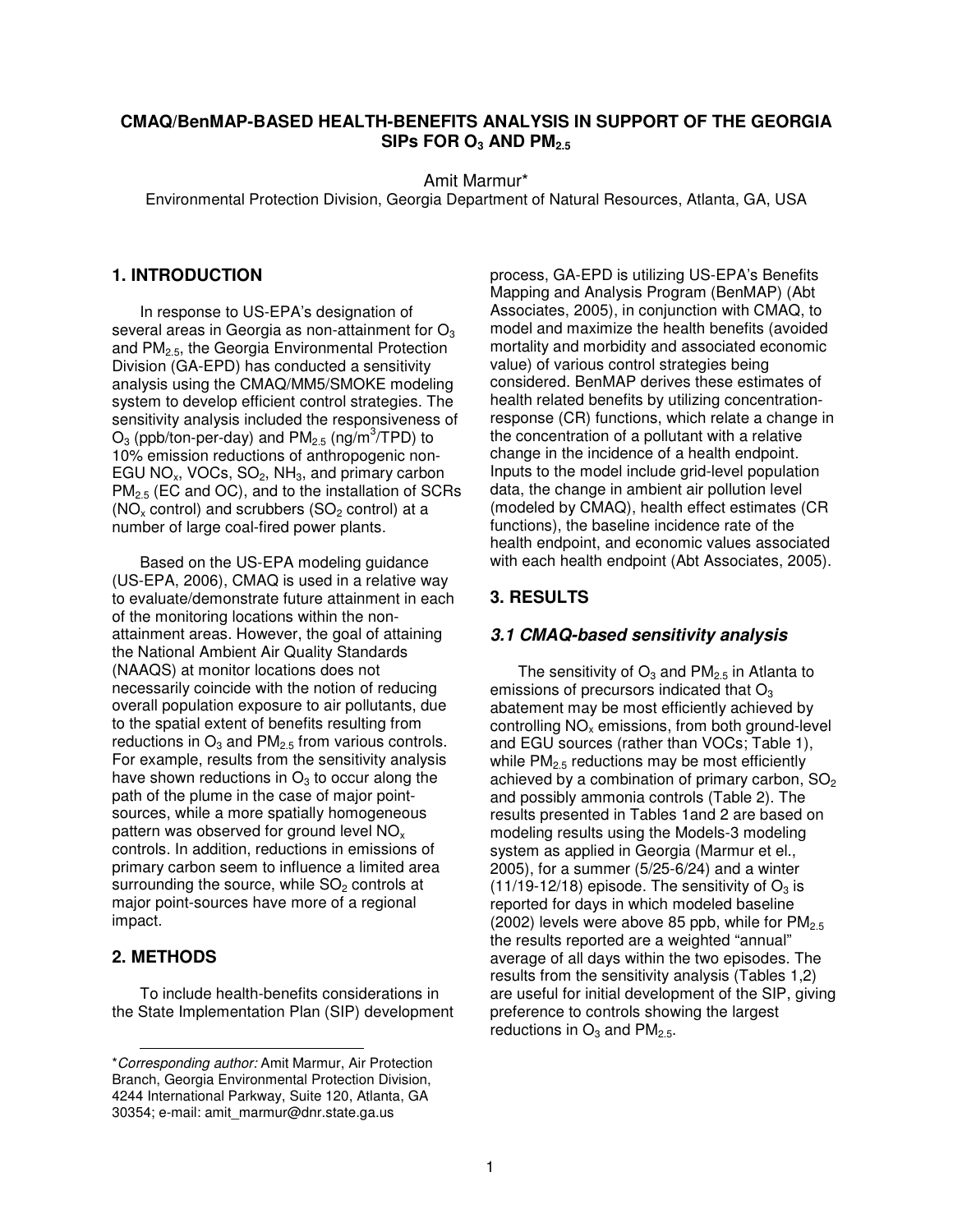# **CMAQ/BenMAP-BASED HEALTH-BENEFITS ANALYSIS IN SUPPORT OF THE GEORGIA SIPs FOR O<sup>3</sup> AND PM2.5**

Amit Marmur\*

Environmental Protection Division, Georgia Department of Natural Resources, Atlanta, GA, USA

## **1. INTRODUCTION**

In response to US-EPA's designation of several areas in Georgia as non-attainment for  $O<sub>3</sub>$ and PM2.5, the Georgia Environmental Protection Division (GA-EPD) has conducted a sensitivity analysis using the CMAQ/MM5/SMOKE modeling system to develop efficient control strategies. The sensitivity analysis included the responsiveness of  $O_3$  (ppb/ton-per-day) and PM<sub>2.5</sub> (ng/m<sup>3</sup>/TPD) to 10% emission reductions of anthropogenic non-EGU NO<sub>x</sub>, VOCs, SO<sub>2</sub>, NH<sub>3</sub>, and primary carbon PM<sub>2.5</sub> (EC and OC), and to the installation of SCRs ( $NO<sub>x</sub>$  control) and scrubbers ( $SO<sub>2</sub>$  control) at a number of large coal-fired power plants.

Based on the US-EPA modeling guidance (US-EPA, 2006), CMAQ is used in a relative way to evaluate/demonstrate future attainment in each of the monitoring locations within the nonattainment areas. However, the goal of attaining the National Ambient Air Quality Standards (NAAQS) at monitor locations does not necessarily coincide with the notion of reducing overall population exposure to air pollutants, due to the spatial extent of benefits resulting from reductions in  $O_3$  and  $PM_{2.5}$  from various controls. For example, results from the sensitivity analysis have shown reductions in  $O_3$  to occur along the path of the plume in the case of major pointsources, while a more spatially homogeneous pattern was observed for ground level  $NO<sub>x</sub>$ controls. In addition, reductions in emissions of primary carbon seem to influence a limited area surrounding the source, while  $SO<sub>2</sub>$  controls at major point-sources have more of a regional impact.

## **2. METHODS**

To include health-benefits considerations in the State Implementation Plan (SIP) development process, GA-EPD is utilizing US-EPA's Benefits Mapping and Analysis Program (BenMAP) (Abt Associates, 2005), in conjunction with CMAQ, to model and maximize the health benefits (avoided mortality and morbidity and associated economic value) of various control strategies being considered. BenMAP derives these estimates of health related benefits by utilizing concentrationresponse (CR) functions, which relate a change in the concentration of a pollutant with a relative change in the incidence of a health endpoint. Inputs to the model include grid-level population data, the change in ambient air pollution level (modeled by CMAQ), health effect estimates (CR functions), the baseline incidence rate of the health endpoint, and economic values associated with each health endpoint (Abt Associates, 2005).

# **3. RESULTS**

#### *3.1 CMAQ-based sensitivity analysis*

The sensitivity of  $O_3$  and  $PM_{2.5}$  in Atlanta to emissions of precursors indicated that  $O<sub>3</sub>$ abatement may be most efficiently achieved by controlling  $NO<sub>x</sub>$  emissions, from both ground-level and EGU sources (rather than VOCs; Table 1), while  $PM<sub>2.5</sub>$  reductions may be most efficiently achieved by a combination of primary carbon,  $SO<sub>2</sub>$ and possibly ammonia controls (Table 2). The results presented in Tables 1and 2 are based on modeling results using the Models-3 modeling system as applied in Georgia (Marmur et el., 2005), for a summer (5/25-6/24) and a winter  $(11/19-12/18)$  episode. The sensitivity of  $O_3$  is reported for days in which modeled baseline (2002) levels were above 85 ppb, while for  $PM<sub>2.5</sub>$ the results reported are a weighted "annual" average of all days within the two episodes. The results from the sensitivity analysis (Tables 1,2) are useful for initial development of the SIP, giving preference to controls showing the largest reductions in  $O_3$  and PM<sub>2.5</sub>.

<sup>\*</sup>*Corresponding author:* Amit Marmur, Air Protection Branch, Georgia Environmental Protection Division, 4244 International Parkway, Suite 120, Atlanta, GA 30354; e-mail: amit\_marmur@dnr.state.ga.us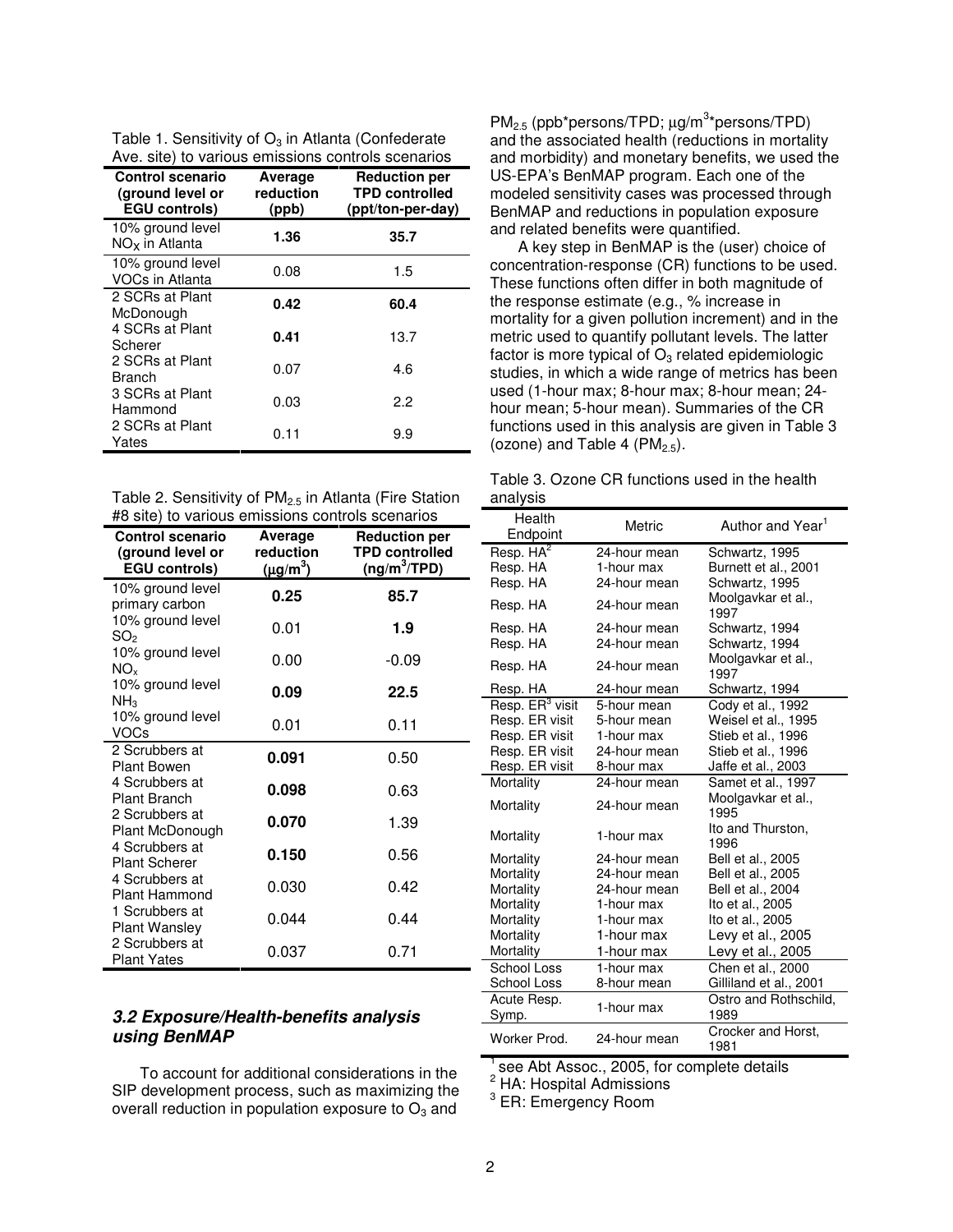| Table 1. Sensitivity of $O_3$ in Atlanta (Confederate |  |
|-------------------------------------------------------|--|
| Ave. site) to various emissions controls scenarios    |  |

| we. one, to various criticalists corrected accritication<br><b>Control scenario</b><br>(ground level or<br><b>EGU controls)</b> | Average<br>reduction<br>(ppb) | <b>Reduction per</b><br><b>TPD controlled</b><br>(ppt/ton-per-day) |
|---------------------------------------------------------------------------------------------------------------------------------|-------------------------------|--------------------------------------------------------------------|
| 10% ground level<br>$NOx$ in Atlanta                                                                                            | 1.36                          | 35.7                                                               |
| 10% ground level<br>VOCs in Atlanta                                                                                             | 0.08                          | 1.5                                                                |
| 2 SCRs at Plant<br>McDonough                                                                                                    | 0.42                          | 60.4                                                               |
| 4 SCRs at Plant<br>Scherer                                                                                                      | 0.41                          | 13.7                                                               |
| 2 SCRs at Plant<br>Branch                                                                                                       | 0.07                          | 4.6                                                                |
| 3 SCRs at Plant<br>Hammond                                                                                                      | 0.03                          | 2.2                                                                |
| 2 SCRs at Plant<br>Yates                                                                                                        | 0.11                          | 9.9                                                                |

Table 2. Sensitivity of PM<sub>2.5</sub> in Atlanta (Fire Station #8 site) to various emissions controls scenarios

| <b>Control scenario</b><br>(ground level or<br><b>EGU controls)</b> | Average<br>reduction<br>$(\mu g/m^3)$ | <b>Reduction per</b><br><b>TPD controlled</b><br>$(ng/m^3 / TPD)$ |
|---------------------------------------------------------------------|---------------------------------------|-------------------------------------------------------------------|
| 10% ground level<br>primary carbon                                  | 0.25                                  | 85.7                                                              |
| 10% ground level<br>SO <sub>2</sub>                                 | 0.01                                  | 1.9                                                               |
| 10% ground level<br>NO <sub>¥</sub>                                 | 0.00                                  | -0.09                                                             |
| 10% ground level<br>NH <sub>3</sub>                                 | 0.09                                  | 22.5                                                              |
| 10% ground level<br>VOCs                                            | 0.01                                  | 0.11                                                              |
| 2 Scrubbers at<br><b>Plant Bowen</b>                                | 0.091                                 | 0.50                                                              |
| 4 Scrubbers at<br><b>Plant Branch</b>                               | 0.098                                 | 0.63                                                              |
| 2 Scrubbers at<br>Plant McDonough                                   | 0.070                                 | 1.39                                                              |
| 4 Scrubbers at<br><b>Plant Scherer</b>                              | 0.150                                 | 0.56                                                              |
| 4 Scrubbers at<br>Plant Hammond                                     | 0.030                                 | 0.42                                                              |
| 1 Scrubbers at<br><b>Plant Wansley</b>                              | 0.044                                 | 0.44                                                              |
| 2 Scrubbers at<br><b>Plant Yates</b>                                | 0.037                                 | 0.71                                                              |

# *3.2 Exposure/Health-benefits analysis using BenMAP*

To account for additional considerations in the SIP development process, such as maximizing the overall reduction in population exposure to  $O<sub>3</sub>$  and

PM<sub>2.5</sub> (ppb\*persons/TPD; µg/m<sup>3</sup>\*persons/TPD) and the associated health (reductions in mortality and morbidity) and monetary benefits, we used the US-EPA's BenMAP program. Each one of the modeled sensitivity cases was processed through BenMAP and reductions in population exposure and related benefits were quantified.

A key step in BenMAP is the (user) choice of concentration-response (CR) functions to be used. These functions often differ in both magnitude of the response estimate (e.g., % increase in mortality for a given pollution increment) and in the metric used to quantify pollutant levels. The latter factor is more typical of  $O_3$  related epidemiologic studies, in which a wide range of metrics has been used (1-hour max; 8-hour max; 8-hour mean; 24 hour mean; 5-hour mean). Summaries of the CR functions used in this analysis are given in Table 3 (ozone) and Table 4 ( $PM<sub>2.5</sub>$ ).

| Table 3. Ozone CR functions used in the health |  |  |  |  |
|------------------------------------------------|--|--|--|--|
| analysis                                       |  |  |  |  |

| anaryoio                    |              |                               |  |
|-----------------------------|--------------|-------------------------------|--|
| Health                      |              |                               |  |
| Endpoint                    | Metric       | Author and Year <sup>1</sup>  |  |
|                             |              |                               |  |
| Resp. HA <sup>2</sup>       | 24-hour mean | Schwartz, 1995                |  |
| Resp. HA                    | 1-hour max   | Burnett et al., 2001          |  |
| Resp. HA                    | 24-hour mean | Schwartz, 1995                |  |
| Resp. HA                    | 24-hour mean | Moolgavkar et al.,<br>1997    |  |
| Resp. HA                    | 24-hour mean | Schwartz, 1994                |  |
| Resp. HA                    | 24-hour mean | Schwartz, 1994                |  |
| Resp. HA                    | 24-hour mean | Moolgavkar et al.,            |  |
|                             |              | 1997                          |  |
| Resp. HA                    | 24-hour mean | Schwartz, 1994                |  |
| Resp. ER <sup>3</sup> visit | 5-hour mean  | Cody et al., 1992             |  |
| Resp. ER visit              | 5-hour mean  | Weisel et al., 1995           |  |
| Resp. ER visit              | 1-hour max   | Stieb et al., 1996            |  |
| Resp. ER visit              | 24-hour mean | Stieb et al., 1996            |  |
| Resp. ER visit              | 8-hour max   | Jaffe et al., 2003            |  |
| Mortality                   | 24-hour mean | Samet et al., 1997            |  |
| Mortality                   | 24-hour mean | Moolgavkar et al.,<br>1995    |  |
| Mortality                   | 1-hour max   | Ito and Thurston,<br>1996     |  |
| Mortality                   | 24-hour mean | Bell et al., 2005             |  |
| Mortality                   | 24-hour mean | Bell et al., 2005             |  |
| Mortality                   | 24-hour mean | Bell et al., 2004             |  |
| Mortality                   | 1-hour max   | lto et al., 2005              |  |
| Mortality                   | 1-hour max   | Ito et al., 2005              |  |
| Mortality                   | 1-hour max   | Levy et al., 2005             |  |
| Mortality                   | 1-hour max   | Levy et al., 2005             |  |
| School Loss                 | 1-hour max   | Chen et al., 2000             |  |
|                             |              |                               |  |
| School Loss                 | 8-hour mean  | Gilliland et al., 2001        |  |
| Acute Resp.<br>Symp.        | 1-hour max   | Ostro and Rothschild,<br>1989 |  |
| Worker Prod.                | 24-hour mean | Crocker and Horst,<br>1981    |  |

<sup>1</sup> see Abt Assoc., 2005, for complete details

 $2$  HA: Hospital Admissions

 $3$  ER: Emergency Room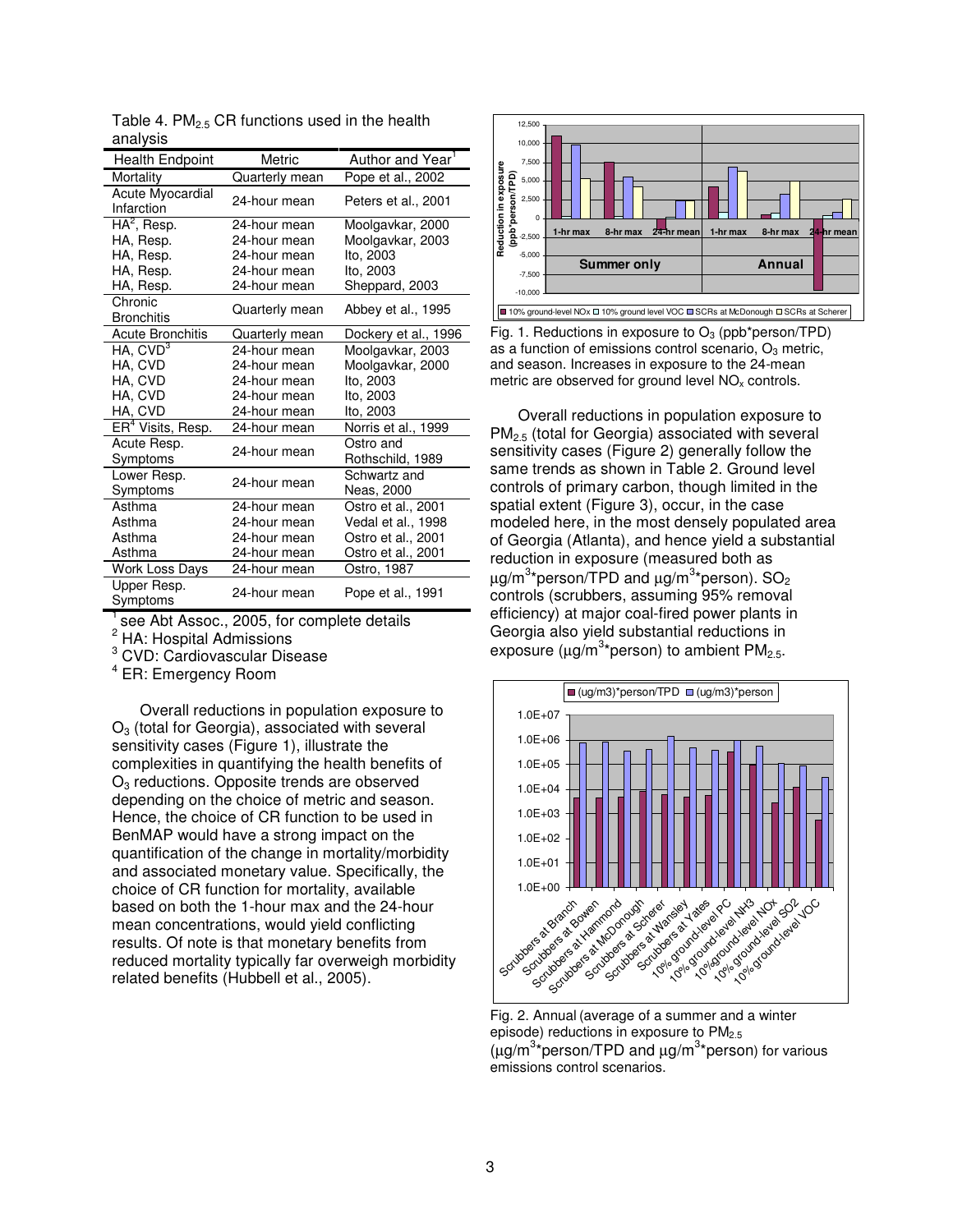| <b>Health Endpoint</b>         | Metric         | Author and Year <sup>1</sup>  |
|--------------------------------|----------------|-------------------------------|
| Mortality                      | Quarterly mean | Pope et al., 2002             |
| Acute Myocardial<br>Infarction | 24-hour mean   | Peters et al., 2001           |
| $HA^2$ , Resp.                 | 24-hour mean   | Moolgavkar, 2000              |
| HA, Resp.                      | 24-hour mean   | Moolgavkar, 2003              |
| HA, Resp.                      | 24-hour mean   | Ito, 2003                     |
| HA, Resp.                      | 24-hour mean   | Ito, 2003                     |
| HA, Resp.                      | 24-hour mean   | Sheppard, 2003                |
| Chronic<br><b>Bronchitis</b>   | Quarterly mean | Abbey et al., 1995            |
| <b>Acute Bronchitis</b>        | Quarterly mean | Dockery et al., 1996          |
| $HA$ , $CVD3$                  | 24-hour mean   | Moolgavkar, 2003              |
| HA, CVD                        | 24-hour mean   | Moolgavkar, 2000              |
| HA, CVD                        | 24-hour mean   | lto, 2003                     |
| HA, CVD                        | 24-hour mean   | Ito, 2003                     |
| HA, CVD                        | 24-hour mean   | lto, 2003                     |
| ER <sup>4</sup> Visits, Resp.  | 24-hour mean   | Norris et al., 1999           |
| Acute Resp.<br>Symptoms        | 24-hour mean   | Ostro and<br>Rothschild, 1989 |
| Lower Resp.<br>Symptoms        | 24-hour mean   | Schwartz and<br>Neas, 2000    |
| Asthma                         | 24-hour mean   | Ostro et al., 2001            |
| Asthma                         | 24-hour mean   | Vedal et al., 1998            |
| Asthma                         | 24-hour mean   | Ostro et al., 2001            |
| Asthma                         | 24-hour mean   | Ostro et al., 2001            |
| <b>Work Loss Days</b>          | 24-hour mean   | Ostro, 1987                   |
| Upper Resp.<br>Symptoms        | 24-hour mean   | Pope et al., 1991             |

Table 4.  $PM<sub>2.5</sub>$  CR functions used in the health analysis

1 see Abt Assoc., 2005, for complete details

<sup>2</sup> HA: Hospital Admissions

<sup>3</sup> CVD: Cardiovascular Disease

4 ER: Emergency Room

Overall reductions in population exposure to  $O<sub>3</sub>$  (total for Georgia), associated with several sensitivity cases (Figure 1), illustrate the complexities in quantifying the health benefits of  $O<sub>3</sub>$  reductions. Opposite trends are observed depending on the choice of metric and season. Hence, the choice of CR function to be used in BenMAP would have a strong impact on the quantification of the change in mortality/morbidity and associated monetary value. Specifically, the choice of CR function for mortality, available based on both the 1-hour max and the 24-hour mean concentrations, would yield conflicting results. Of note is that monetary benefits from reduced mortality typically far overweigh morbidity related benefits (Hubbell et al., 2005).



Fig. 1. Reductions in exposure to  $O_3$  (ppb\*person/TPD) as a function of emissions control scenario,  $O<sub>3</sub>$  metric, and season. Increases in exposure to the 24-mean metric are observed for ground level  $NO<sub>x</sub>$  controls.

Overall reductions in population exposure to PM2.5 (total for Georgia) associated with several sensitivity cases (Figure 2) generally follow the same trends as shown in Table 2. Ground level controls of primary carbon, though limited in the spatial extent (Figure 3), occur, in the case modeled here, in the most densely populated area of Georgia (Atlanta), and hence yield a substantial reduction in exposure (measured both as  $\mu$ g/m $^{3\star}$ person/TPD and  $\mu$ g/m $^{3\star}$ person). SO $_2$ controls (scrubbers, assuming 95% removal efficiency) at major coal-fired power plants in Georgia also yield substantial reductions in exposure ( $\mu$ g/m<sup>3\*</sup>person) to ambient PM<sub>2.5</sub>.



Fig. 2. Annual (average of a summer and a winter episode) reductions in exposure to PM2.5  $(\mu g/m^3*)$ erson/TPD and  $\mu g/m^3*$ person) for various emissions control scenarios.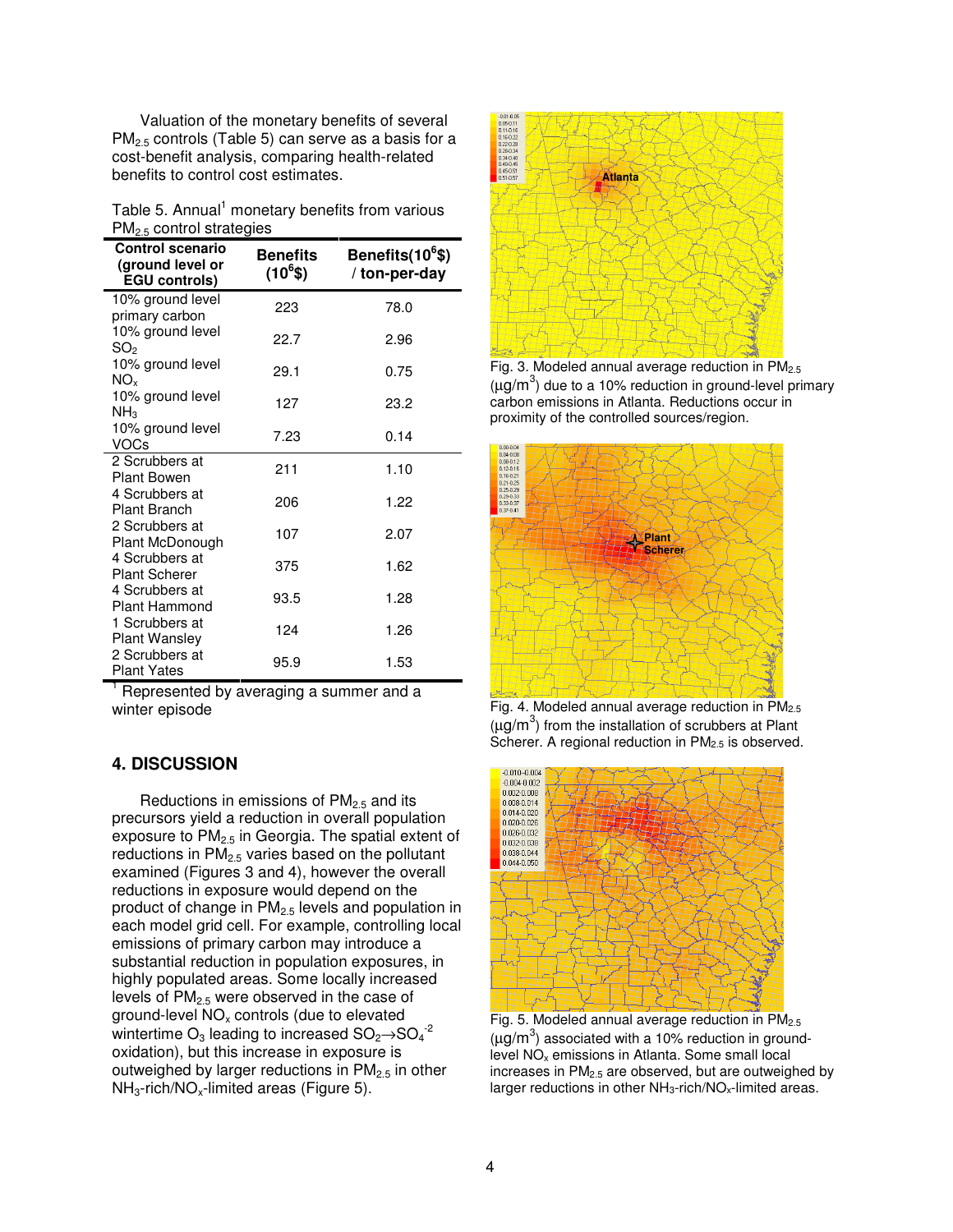Valuation of the monetary benefits of several  $PM_{2.5}$  controls (Table 5) can serve as a basis for a cost-benefit analysis, comparing health-related benefits to control cost estimates.

|                            | Table 5. Annual <sup>1</sup> monetary benefits from various |
|----------------------------|-------------------------------------------------------------|
| $PM2.5$ control strategies |                                                             |

| <b>Control scenario</b><br>(ground level or<br><b>EGU controls)</b> | <b>Benefits</b><br>$(10^6$ \$) | Benefits(10 <sup>6</sup> \$)<br>/ ton-per-day |
|---------------------------------------------------------------------|--------------------------------|-----------------------------------------------|
| 10% ground level<br>primary carbon                                  | 223                            | 78.0                                          |
| 10% ground level<br>SO2                                             | 22.7                           | 2.96                                          |
| 10% ground level<br>NO <sub>x</sub>                                 | 29.1                           | 0.75                                          |
| 10% ground level<br>NH <sub>3</sub>                                 | 127                            | 23.2                                          |
| 10% ground level<br>VOCs                                            | 7.23                           | 0.14                                          |
| 2 Scrubbers at<br><b>Plant Bowen</b>                                | 211                            | 1.10                                          |
| 4 Scrubbers at<br><b>Plant Branch</b>                               | 206                            | 1.22                                          |
| 2 Scrubbers at<br>Plant McDonough                                   | 107                            | 2.07                                          |
| 4 Scrubbers at<br><b>Plant Scherer</b>                              | 375                            | 1.62                                          |
| 4 Scrubbers at<br>Plant Hammond                                     | 93.5                           | 1.28                                          |
| 1 Scrubbers at<br><b>Plant Wansley</b>                              | 124                            | 1.26                                          |
| 2 Scrubbers at<br>Plant Yates                                       | 95.9                           | 1.53                                          |

Represented by averaging a summer and a winter episode

# **4. DISCUSSION**

Reductions in emissions of  $PM<sub>2.5</sub>$  and its precursors yield a reduction in overall population exposure to  $PM<sub>2.5</sub>$  in Georgia. The spatial extent of reductions in  $PM<sub>2.5</sub>$  varies based on the pollutant examined (Figures 3 and 4), however the overall reductions in exposure would depend on the product of change in  $PM<sub>2.5</sub>$  levels and population in each model grid cell. For example, controlling local emissions of primary carbon may introduce a substantial reduction in population exposures, in highly populated areas. Some locally increased levels of  $PM_{2.5}$  were observed in the case of ground-level  $NO<sub>x</sub>$  controls (due to elevated wintertime  $\mathrm{O}_3$  leading to increased  $\mathrm{SO}_2{\rightarrow}\mathrm{SO}_4^{-2}$ oxidation), but this increase in exposure is outweighed by larger reductions in  $PM<sub>2.5</sub>$  in other  $NH<sub>3</sub>-rich/NO<sub>x</sub>-limited areas (Figure 5).$ 



Fig. 3. Modeled annual average reduction in PM2.5 ( $\mu$ g/m<sup>3</sup>) due to a 10% reduction in ground-level primary carbon emissions in Atlanta. Reductions occur in proximity of the controlled sources/region.



Fig. 4. Modeled annual average reduction in  $PM<sub>2.5</sub>$  $(\mu g/m^3)$  from the installation of scrubbers at Plant Scherer. A regional reduction in  $PM<sub>2.5</sub>$  is observed.



Fig. 5. Modeled annual average reduction in  $PM<sub>2.5</sub>$ ( $\mu$ g/m<sup>3</sup>) associated with a 10% reduction in groundlevel NO<sup>x</sup> emissions in Atlanta. Some small local increases in PM2.5 are observed, but are outweighed by larger reductions in other NH<sub>3</sub>-rich/NO<sub>x</sub>-limited areas.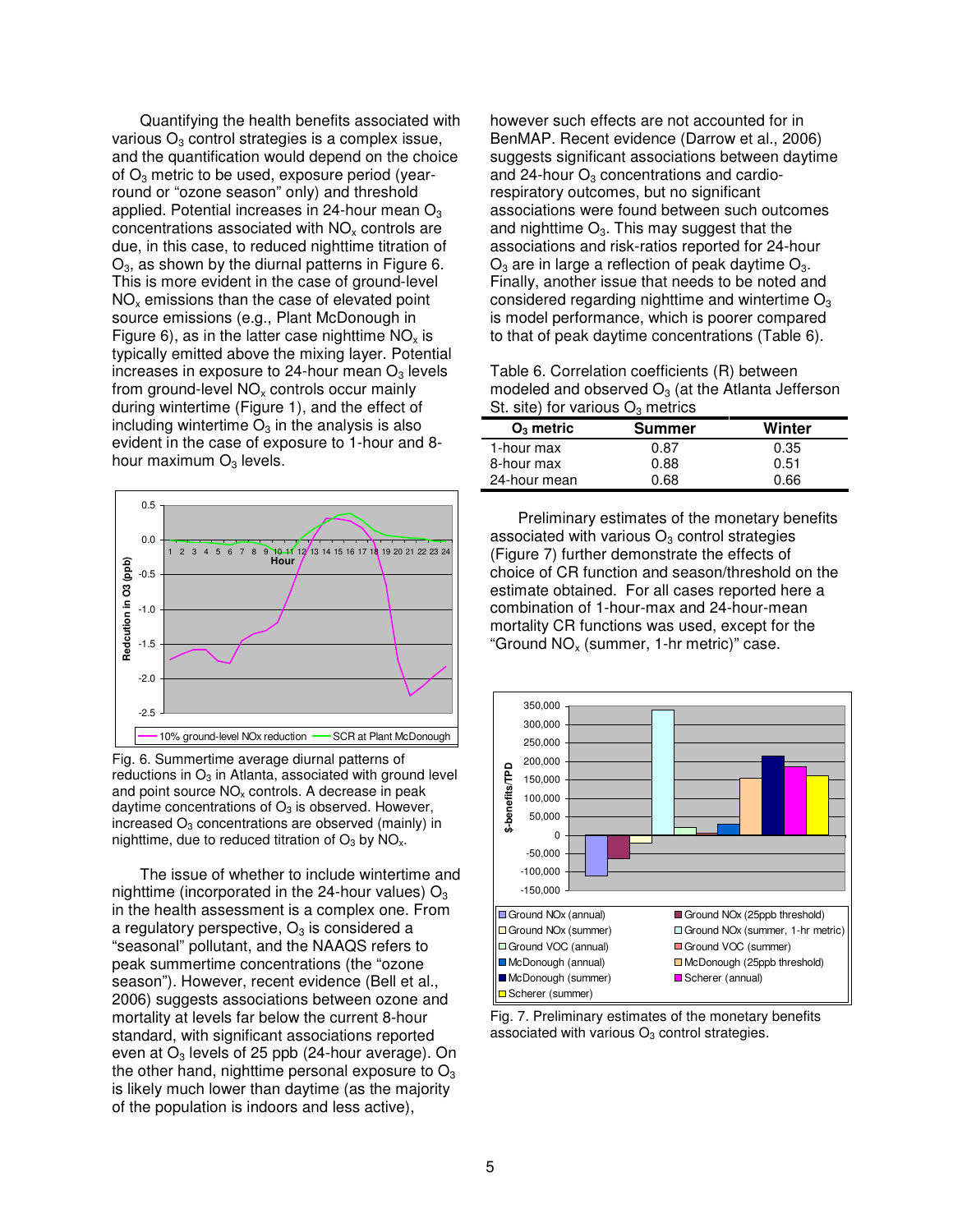Quantifying the health benefits associated with various  $O<sub>3</sub>$  control strategies is a complex issue, and the quantification would depend on the choice of  $O_3$  metric to be used, exposure period (yearround or "ozone season" only) and threshold applied. Potential increases in 24-hour mean  $O<sub>3</sub>$ concentrations associated with  $NO<sub>x</sub>$  controls are due, in this case, to reduced nighttime titration of  $O<sub>3</sub>$ , as shown by the diurnal patterns in Figure 6. This is more evident in the case of ground-level  $NO<sub>x</sub>$  emissions than the case of elevated point source emissions (e.g., Plant McDonough in Figure 6), as in the latter case nighttime  $NO<sub>x</sub>$  is typically emitted above the mixing layer. Potential increases in exposure to 24-hour mean  $O<sub>3</sub>$  levels from ground-level  $NO<sub>x</sub>$  controls occur mainly during wintertime (Figure 1), and the effect of including wintertime  $O_3$  in the analysis is also evident in the case of exposure to 1-hour and 8 hour maximum  $O_3$  levels.



Fig. 6. Summertime average diurnal patterns of reductions in  $O_3$  in Atlanta, associated with ground level and point source  $NO<sub>x</sub>$  controls. A decrease in peak daytime concentrations of  $O_3$  is observed. However, increased  $O_3$  concentrations are observed (mainly) in nighttime, due to reduced titration of  $O_3$  by  $NO<sub>x</sub>$ .

The issue of whether to include wintertime and nighttime (incorporated in the 24-hour values)  $O_3$ in the health assessment is a complex one. From a regulatory perspective,  $O_3$  is considered a "seasonal" pollutant, and the NAAQS refers to peak summertime concentrations (the "ozone season"). However, recent evidence (Bell et al., 2006) suggests associations between ozone and mortality at levels far below the current 8-hour standard, with significant associations reported even at  $O_3$  levels of 25 ppb (24-hour average). On the other hand, nighttime personal exposure to  $O<sub>3</sub>$ is likely much lower than daytime (as the majority of the population is indoors and less active),

however such effects are not accounted for in BenMAP. Recent evidence (Darrow et al., 2006) suggests significant associations between daytime and 24-hour  $O<sub>3</sub>$  concentrations and cardiorespiratory outcomes, but no significant associations were found between such outcomes and nighttime  $O_3$ . This may suggest that the associations and risk-ratios reported for 24-hour  $O_3$  are in large a reflection of peak daytime  $O_3$ . Finally, another issue that needs to be noted and considered regarding nighttime and wintertime  $O<sub>3</sub>$ is model performance, which is poorer compared to that of peak daytime concentrations (Table 6).

Table 6. Correlation coefficients (R) between modeled and observed  $O_3$  (at the Atlanta Jefferson St. site) for various  $O_3$  metrics

| $O_3$ metric | <b>Summer</b> | Winter |  |
|--------------|---------------|--------|--|
| 1-hour max   | 0.87          | 0.35   |  |
| 8-hour max   | 0.88          | 0.51   |  |
| 24-hour mean | 0 68          | 0 66   |  |

Preliminary estimates of the monetary benefits associated with various  $O<sub>3</sub>$  control strategies (Figure 7) further demonstrate the effects of choice of CR function and season/threshold on the estimate obtained. For all cases reported here a combination of 1-hour-max and 24-hour-mean mortality CR functions was used, except for the "Ground  $NO<sub>x</sub>$  (summer, 1-hr metric)" case.



Fig. 7. Preliminary estimates of the monetary benefits associated with various  $O<sub>3</sub>$  control strategies.